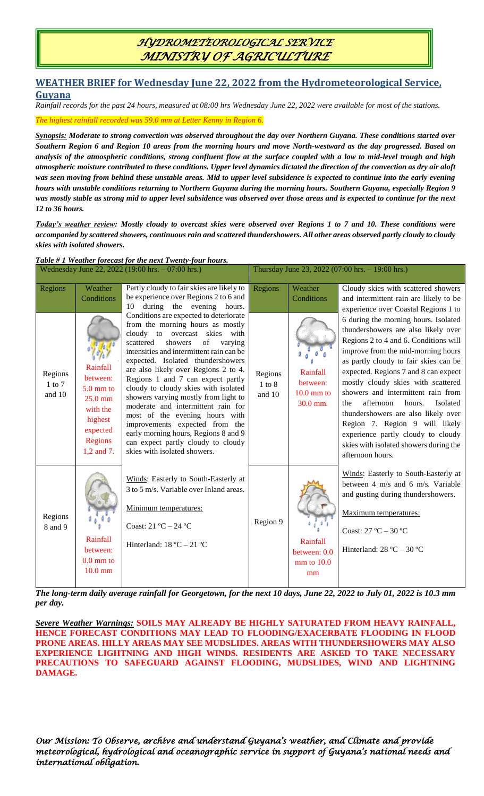### *HYDROMETEOROLOGICAL SERVICE MINISTRY OF AGRICULTURE*

#### **WEATHER BRIEF for Wednesday June 22, 2022 from the Hydrometeorological Service, Guyana**

*Rainfall records for the past 24 hours, measured at 08:00 hrs Wednesday June 22, 2022 were available for most of the stations.*

*The highest rainfall recorded was 59.0 mm at Letter Kenny in Region 6.*

*Synopsis: Moderate to strong convection was observed throughout the day over Northern Guyana. These conditions started over Southern Region 6 and Region 10 areas from the morning hours and move North-westward as the day progressed. Based on analysis of the atmospheric conditions, strong confluent flow at the surface coupled with a low to mid-level trough and high atmospheric moisture contributed to these conditions. Upper level dynamics dictated the direction of the convection as dry air aloft was seen moving from behind these unstable areas. Mid to upper level subsidence is expected to continue into the early evening hours with unstable conditions returning to Northern Guyana during the morning hours. Southern Guyana, especially Region 9 was mostly stable as strong mid to upper level subsidence was observed over those areas and is expected to continue for the next 12 to 36 hours.* 

*Today's weather review: Mostly cloudy to overcast skies were observed over Regions 1 to 7 and 10. These conditions were accompanied by scattered showers, continuous rain and scattered thundershowers. All other areas observed partly cloudy to cloudy skies with isolated showers.* 

### *Table # 1 Weather forecast for the next Twenty-four hours.*

| Wednesday June 22, 2022 (19:00 hrs. - 07:00 hrs.) |                                                                                                            |                                                                                                                                                                                                                                                                                                                                                                                                                                                                                                                                                                                                                            |                                 | Thursday June 23, 2022 (07:00 hrs. - 19:00 hrs.) |                                                                                                                                                                                                                                                                                                                                                                                                                                                                                                                                                |  |  |
|---------------------------------------------------|------------------------------------------------------------------------------------------------------------|----------------------------------------------------------------------------------------------------------------------------------------------------------------------------------------------------------------------------------------------------------------------------------------------------------------------------------------------------------------------------------------------------------------------------------------------------------------------------------------------------------------------------------------------------------------------------------------------------------------------------|---------------------------------|--------------------------------------------------|------------------------------------------------------------------------------------------------------------------------------------------------------------------------------------------------------------------------------------------------------------------------------------------------------------------------------------------------------------------------------------------------------------------------------------------------------------------------------------------------------------------------------------------------|--|--|
| Regions                                           | Weather<br>Conditions                                                                                      | Partly cloudy to fair skies are likely to<br>be experience over Regions 2 to 6 and<br>during the evening hours.<br>10                                                                                                                                                                                                                                                                                                                                                                                                                                                                                                      | Regions                         | Weather<br>Conditions                            | Cloudy skies with scattered showers<br>and intermittent rain are likely to be<br>experience over Coastal Regions 1 to                                                                                                                                                                                                                                                                                                                                                                                                                          |  |  |
| Regions<br>$1$ to $7$<br>and 10                   | Rainfall<br>between:<br>5.0 mm to<br>$25.0$ mm<br>with the<br>highest<br>expected<br>Regions<br>1,2 and 7. | Conditions are expected to deteriorate<br>from the morning hours as mostly<br>cloudy to overcast skies with<br>of<br>showers<br>scattered<br>varying<br>intensities and intermittent rain can be<br>expected. Isolated thundershowers<br>are also likely over Regions 2 to 4.<br>Regions 1 and 7 can expect partly<br>cloudy to cloudy skies with isolated<br>showers varying mostly from light to<br>moderate and intermittent rain for<br>most of the evening hours with<br>improvements expected from the<br>early morning hours, Regions 8 and 9<br>can expect partly cloudy to cloudy<br>skies with isolated showers. | Regions<br>$1$ to $8$<br>and 10 | Rainfall<br>between:<br>$10.0$ mm to<br>30.0 mm. | 6 during the morning hours. Isolated<br>thundershowers are also likely over<br>Regions 2 to 4 and 6. Conditions will<br>improve from the mid-morning hours<br>as partly cloudy to fair skies can be<br>expected. Regions 7 and 8 can expect<br>mostly cloudy skies with scattered<br>showers and intermittent rain from<br>afternoon<br>hours.<br>Isolated<br>the<br>thundershowers are also likely over<br>Region 7. Region 9 will likely<br>experience partly cloudy to cloudy<br>skies with isolated showers during the<br>afternoon hours. |  |  |
| Regions<br>8 and 9                                | Rainfall<br>between:<br>$0.0$ mm to<br>$10.0$ mm                                                           | Winds: Easterly to South-Easterly at<br>3 to 5 m/s. Variable over Inland areas.<br>Minimum temperatures:<br>Coast: $21 °C - 24 °C$<br>Hinterland: $18 °C - 21 °C$                                                                                                                                                                                                                                                                                                                                                                                                                                                          | Region 9                        | Rainfall<br>between: 0.0<br>mm to 10.0<br>mm     | Winds: Easterly to South-Easterly at<br>between 4 m/s and 6 m/s. Variable<br>and gusting during thundershowers.<br>Maximum temperatures:<br>Coast: $27^{\circ}$ C - $30^{\circ}$ C<br>Hinterland: $28 °C - 30 °C$                                                                                                                                                                                                                                                                                                                              |  |  |

*The long-term daily average rainfall for Georgetown, for the next 10 days, June 22, 2022 to July 01, 2022 is 10.3 mm per day.*

*Severe Weather Warnings:* **SOILS MAY ALREADY BE HIGHLY SATURATED FROM HEAVY RAINFALL, HENCE FORECAST CONDITIONS MAY LEAD TO FLOODING/EXACERBATE FLOODING IN FLOOD PRONE AREAS. HILLY AREAS MAY SEE MUDSLIDES. AREAS WITH THUNDERSHOWERS MAY ALSO EXPERIENCE LIGHTNING AND HIGH WINDS. RESIDENTS ARE ASKED TO TAKE NECESSARY PRECAUTIONS TO SAFEGUARD AGAINST FLOODING, MUDSLIDES, WIND AND LIGHTNING DAMAGE.**

*Our Mission: To Observe, archive and understand Guyana's weather, and Climate and provide meteorological, hydrological and oceanographic service in support of Guyana's national needs and international obligation.*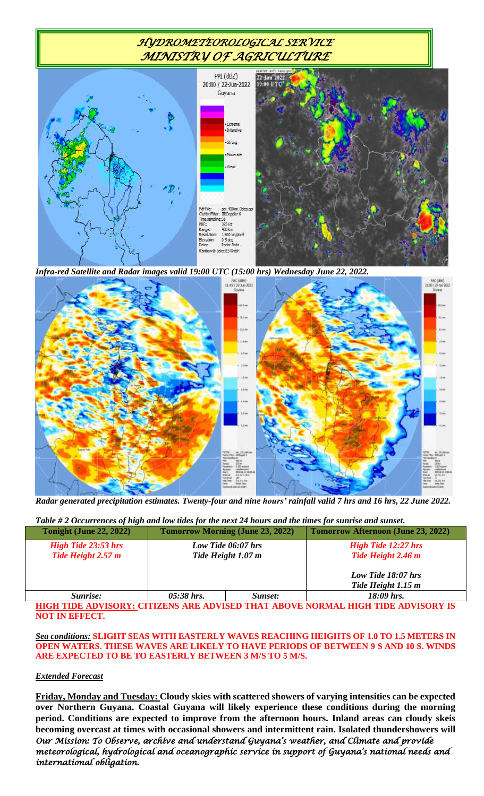# *HYDROMETEOROLOGICAL SERVICE MINISTRY OF AGRICULTURE*



*Infra-red Satellite and Radar images valid 19:00 UTC (15:00 hrs) Wednesday June 22, 2022.*



*Radar generated precipitation estimates. Twenty-four and nine hours' rainfall valid 7 hrs and 16 hrs, 22 June 2022.*

| Table #2 Occurrences of high and low tides for the next 24 hours and the times for sunrise and sunset. |  |  |  |
|--------------------------------------------------------------------------------------------------------|--|--|--|
|                                                                                                        |  |  |  |

| <b>Tonight (June 22, 2022)</b>                   |              | <b>Tomorrow Morning (June 23, 2022)</b>  | <b>Tomorrow Afternoon (June 23, 2022)</b>        |  |
|--------------------------------------------------|--------------|------------------------------------------|--------------------------------------------------|--|
| <b>High Tide 23:53 hrs</b><br>Tide Height 2.57 m |              | Low Tide 06:07 hrs<br>Tide Height 1.07 m | <b>High Tide 12:27 hrs</b><br>Tide Height 2.46 m |  |
|                                                  |              |                                          | Low Tide 18:07 hrs<br>Tide Height 1.15 m         |  |
| Sunrise:                                         | $05:38$ hrs. | Sunset:                                  | $18:09$ hrs.                                     |  |

**HIGH TIDE ADVISORY: CITIZENS ARE ADVISED THAT ABOVE NORMAL HIGH TIDE ADVISORY IS NOT IN EFFECT.**

#### *Sea conditions:* **SLIGHT SEAS WITH EASTERLY WAVES REACHING HEIGHTS OF 1.0 TO 1.5 METERS IN OPEN WATERS. THESE WAVES ARE LIKELY TO HAVE PERIODS OF BETWEEN 9 S AND 10 S. WINDS ARE EXPECTED TO BE TO EASTERLY BETWEEN 3 M/S TO 5 M/S.**

#### *Extended Forecast*

*Our Mission: To Observe, archive and understand Guyana's weather, and Climate and provide meteorological, hydrological and oceanographic service in support of Guyana's national needs and international obligation.* **Friday, Monday and Tuesday: Cloudy skies with scattered showers of varying intensities can be expected over Northern Guyana. Coastal Guyana will likely experience these conditions during the morning period. Conditions are expected to improve from the afternoon hours. Inland areas can cloudy skeis becoming overcast at times with occasional showers and intermittent rain. Isolated thundershowers will**